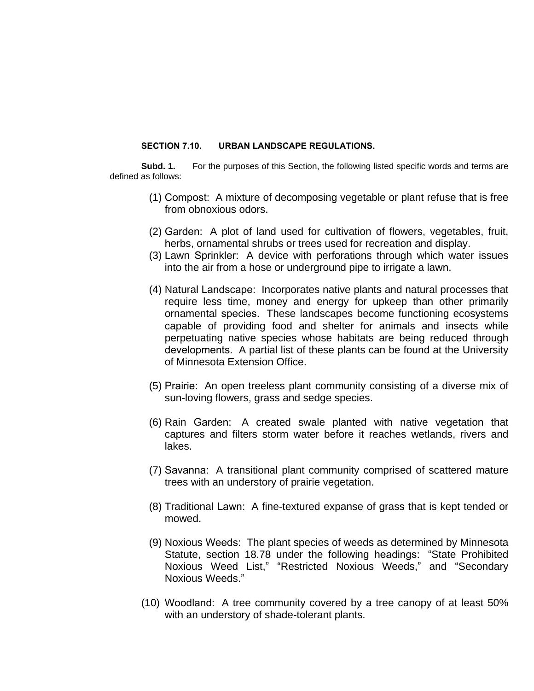## **SECTION 7.10. URBAN LANDSCAPE REGULATIONS.**

**Subd. 1.** For the purposes of this Section, the following listed specific words and terms are defined as follows:

- (1) Compost: A mixture of decomposing vegetable or plant refuse that is free from obnoxious odors.
- (2) Garden: A plot of land used for cultivation of flowers, vegetables, fruit, herbs, ornamental shrubs or trees used for recreation and display.
- (3) Lawn Sprinkler: A device with perforations through which water issues into the air from a hose or underground pipe to irrigate a lawn.
- (4) Natural Landscape: Incorporates native plants and natural processes that require less time, money and energy for upkeep than other primarily ornamental species. These landscapes become functioning ecosystems capable of providing food and shelter for animals and insects while perpetuating native species whose habitats are being reduced through developments. A partial list of these plants can be found at the University of Minnesota Extension Office.
- (5) Prairie: An open treeless plant community consisting of a diverse mix of sun-loving flowers, grass and sedge species.
- (6) Rain Garden: A created swale planted with native vegetation that captures and filters storm water before it reaches wetlands, rivers and lakes.
- (7) Savanna: A transitional plant community comprised of scattered mature trees with an understory of prairie vegetation.
- (8) Traditional Lawn: A fine-textured expanse of grass that is kept tended or mowed.
- (9) Noxious Weeds: The plant species of weeds as determined by Minnesota Statute, section 18.78 under the following headings: "State Prohibited Noxious Weed List," "Restricted Noxious Weeds," and "Secondary Noxious Weeds."
- (10) Woodland: A tree community covered by a tree canopy of at least 50% with an understory of shade-tolerant plants.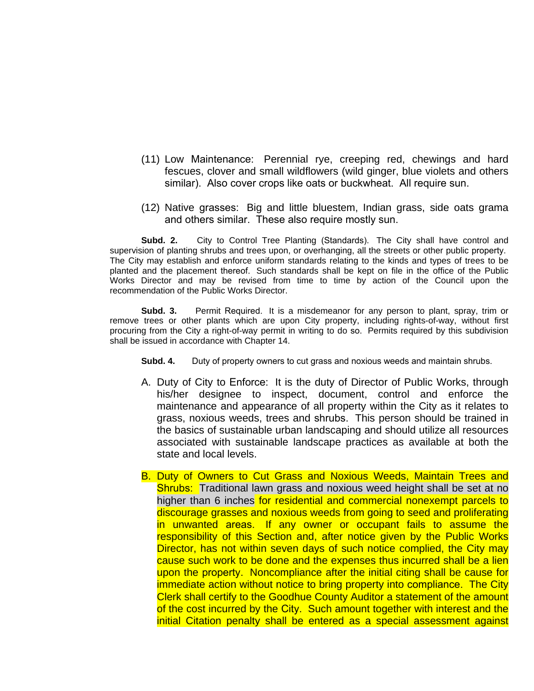- (11) Low Maintenance: Perennial rye, creeping red, chewings and hard fescues, clover and small wildflowers (wild ginger, blue violets and others similar). Also cover crops like oats or buckwheat. All require sun.
- (12) Native grasses: Big and little bluestem, Indian grass, side oats grama and others similar. These also require mostly sun.

**Subd. 2.** City to Control Tree Planting (Standards). The City shall have control and supervision of planting shrubs and trees upon, or overhanging, all the streets or other public property. The City may establish and enforce uniform standards relating to the kinds and types of trees to be planted and the placement thereof. Such standards shall be kept on file in the office of the Public Works Director and may be revised from time to time by action of the Council upon the recommendation of the Public Works Director.

**Subd. 3.** Permit Required. It is a misdemeanor for any person to plant, spray, trim or remove trees or other plants which are upon City property, including rights-of-way, without first procuring from the City a right-of-way permit in writing to do so. Permits required by this subdivision shall be issued in accordance with Chapter 14.

- **Subd. 4.** Duty of property owners to cut grass and noxious weeds and maintain shrubs.
- A. Duty of City to Enforce: It is the duty of Director of Public Works, through his/her designee to inspect, document, control and enforce the maintenance and appearance of all property within the City as it relates to grass, noxious weeds, trees and shrubs. This person should be trained in the basics of sustainable urban landscaping and should utilize all resources associated with sustainable landscape practices as available at both the state and local levels.
- B. Duty of Owners to Cut Grass and Noxious Weeds, Maintain Trees and Shrubs: Traditional lawn grass and noxious weed height shall be set at no higher than 6 inches for residential and commercial nonexempt parcels to discourage grasses and noxious weeds from going to seed and proliferating in unwanted areas. If any owner or occupant fails to assume the responsibility of this Section and, after notice given by the Public Works Director, has not within seven days of such notice complied, the City may cause such work to be done and the expenses thus incurred shall be a lien upon the property. Noncompliance after the initial citing shall be cause for immediate action without notice to bring property into compliance. The City Clerk shall certify to the Goodhue County Auditor a statement of the amount of the cost incurred by the City. Such amount together with interest and the initial Citation penalty shall be entered as a special assessment against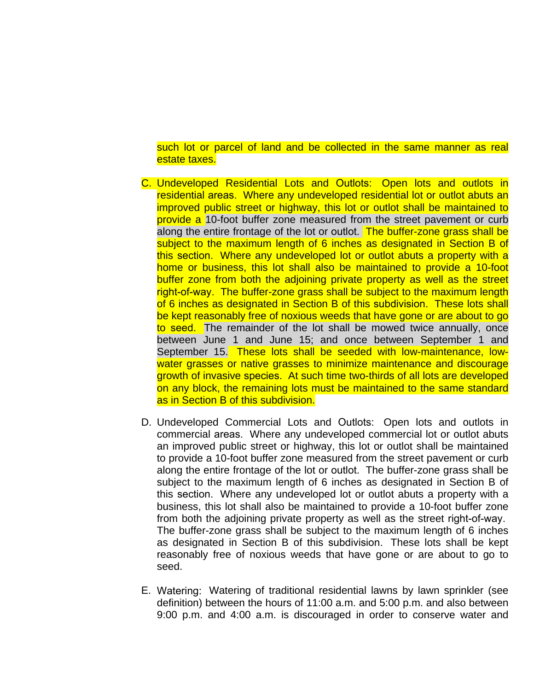such lot or parcel of land and be collected in the same manner as real estate taxes.

- C. Undeveloped Residential Lots and Outlots: Open lots and outlots in residential areas. Where any undeveloped residential lot or outlot abuts an improved public street or highway, this lot or outlot shall be maintained to provide a 10-foot buffer zone measured from the street pavement or curb along the entire frontage of the lot or outlot. The buffer-zone grass shall be subject to the maximum length of 6 inches as designated in Section B of this section. Where any undeveloped lot or outlot abuts a property with a home or business, this lot shall also be maintained to provide a 10-foot buffer zone from both the adjoining private property as well as the street right-of-way. The buffer-zone grass shall be subject to the maximum length of 6 inches as designated in Section B of this subdivision. These lots shall be kept reasonably free of noxious weeds that have gone or are about to go to seed. The remainder of the lot shall be mowed twice annually, once between June 1 and June 15; and once between September 1 and September 15. These lots shall be seeded with low-maintenance, lowwater grasses or native grasses to minimize maintenance and discourage growth of invasive species. At such time two-thirds of all lots are developed on any block, the remaining lots must be maintained to the same standard as in Section B of this subdivision.
- D. Undeveloped Commercial Lots and Outlots: Open lots and outlots in commercial areas. Where any undeveloped commercial lot or outlot abuts an improved public street or highway, this lot or outlot shall be maintained to provide a 10-foot buffer zone measured from the street pavement or curb along the entire frontage of the lot or outlot. The buffer-zone grass shall be subject to the maximum length of 6 inches as designated in Section B of this section. Where any undeveloped lot or outlot abuts a property with a business, this lot shall also be maintained to provide a 10-foot buffer zone from both the adjoining private property as well as the street right-of-way. The buffer-zone grass shall be subject to the maximum length of 6 inches as designated in Section B of this subdivision. These lots shall be kept reasonably free of noxious weeds that have gone or are about to go to seed.
- E. Watering: Watering of traditional residential lawns by lawn sprinkler (see definition) between the hours of 11:00 a.m. and 5:00 p.m. and also between 9:00 p.m. and 4:00 a.m. is discouraged in order to conserve water and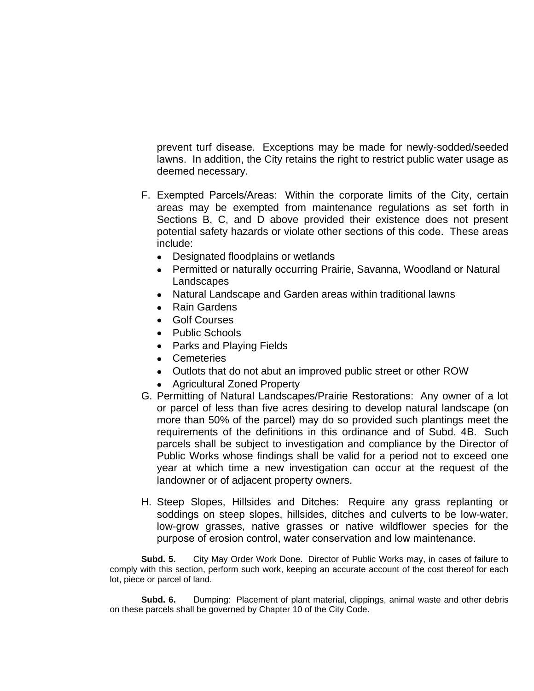prevent turf disease. Exceptions may be made for newly-sodded/seeded lawns. In addition, the City retains the right to restrict public water usage as deemed necessary.

- F. Exempted Parcels/Areas: Within the corporate limits of the City, certain areas may be exempted from maintenance regulations as set forth in Sections B, C, and D above provided their existence does not present potential safety hazards or violate other sections of this code. These areas include:
	- Designated floodplains or wetlands
	- Permitted or naturally occurring Prairie, Savanna, Woodland or Natural **Landscapes**
	- Natural Landscape and Garden areas within traditional lawns
	- Rain Gardens
	- Golf Courses
	- Public Schools
	- Parks and Playing Fields
	- Cemeteries
	- Outlots that do not abut an improved public street or other ROW
	- Agricultural Zoned Property
- G. Permitting of Natural Landscapes/Prairie Restorations: Any owner of a lot or parcel of less than five acres desiring to develop natural landscape (on more than 50% of the parcel) may do so provided such plantings meet the requirements of the definitions in this ordinance and of Subd. 4B. Such parcels shall be subject to investigation and compliance by the Director of Public Works whose findings shall be valid for a period not to exceed one year at which time a new investigation can occur at the request of the landowner or of adjacent property owners.
- H. Steep Slopes, Hillsides and Ditches: Require any grass replanting or soddings on steep slopes, hillsides, ditches and culverts to be low-water, low-grow grasses, native grasses or native wildflower species for the purpose of erosion control, water conservation and low maintenance.

**Subd. 5.** City May Order Work Done. Director of Public Works may, in cases of failure to comply with this section, perform such work, keeping an accurate account of the cost thereof for each lot, piece or parcel of land.

**Subd. 6.** Dumping: Placement of plant material, clippings, animal waste and other debris on these parcels shall be governed by Chapter 10 of the City Code.